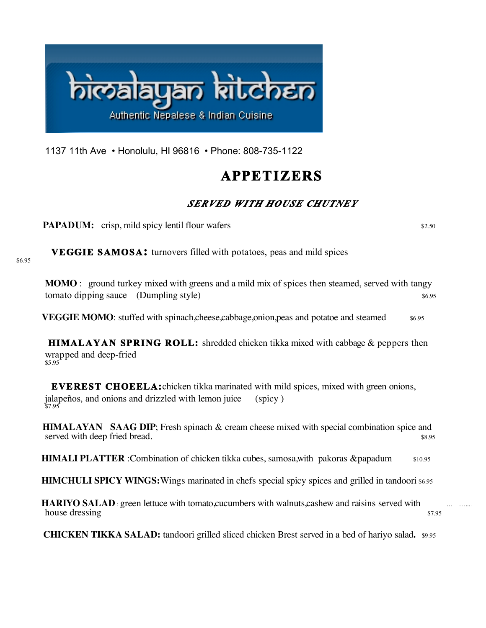

1137 11th Ave • Honolulu, HI 96816 • Phone: 808-735-1122

# **APPETIZERS**

### *SERVED WITH HOUSE CHUTNEY*

**PAPADUM:** crisp, mild spicy lentil flour wafers  $\frac{$2.50}{20}$ 

 **VEGGIE SAMOSA:** turnovers filled with potatoes, peas and mild spices

\$6.95

**MOMO** : ground turkey mixed with greens and a mild mix of spices then steamed, served with tangy tomato dipping sauce (Dumpling style)  $\frac{1}{2}$  s6.95

**VEGGIE MOMO**: stuffed with spinach,cheese,cabbage,onion, peas and potatoe and steamed  $$6.95$ 

**HIMALAYAN SPRING ROLL:** shredded chicken tikka mixed with cabbage & peppers then wrapped and deep-fried<br>\$5.95

 **EVEREST CHOEELA:**chicken tikka marinated with mild spices, mixed with green onions, jalapeños, and onions and drizzled with lemon juice (spicy )  $\frac{3}{57.95}$ 

 **HIMALAYAN SAAG DIP**; Fresh spinach & cream cheese mixed with special combination spice and served with deep fried bread.  $\frac{8.95}{2}$ 

**HIMALI PLATTER** :Combination of chicken tikka cubes, samosa,with pakoras &papadum \$10.95

**HIMCHULI SPICY WINGS:** Wings marinated in chefs special spicy spices and grilled in tandoori \$6.95

**HARIYO SALAD**: green lettuce with tomato,cucumbers with walnuts,cashew and raisins served with house dressing  $\frac{1}{2}$ 

**CHICKEN TIKKA SALAD:** tandoori grilled sliced chicken Brest served in a bed of hariyo salad**.** \$9.95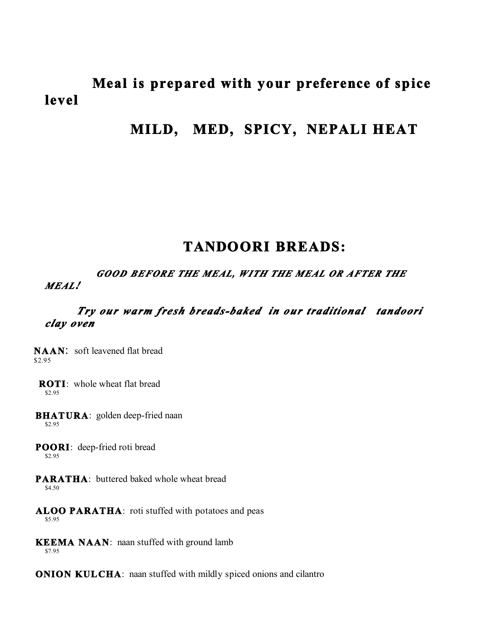# **Meal is prepared with your preference of spice level**

# **MILD, MED, SPICY, NEPALI HEAT**

## **TANDOORI BREADS:**

#### *GOOD BEFORE THE MEAL, WITH THE MEAL OR AFTER THE MEAL!*

#### *Try our warm fresh breads-baked in our traditional tandoori clay oven*

**NAAN**: soft leavened flat bread \$2.95

**ROTI:** whole wheat flat bread \$2.95

**BHATURA**: golden deep-fried naan \$2.95

 **POORI**: deep-fried roti bread \$2.95

- **PARATHA:** buttered baked whole wheat bread \$4.50
- **ALOO PARATHA**: roti stuffed with potatoes and peas \$5.95
- **KEEMA NAAN**: naan stuffed with ground lamb \$7.95

**ONION KULCHA:** naan stuffed with mildly spiced onions and cilantro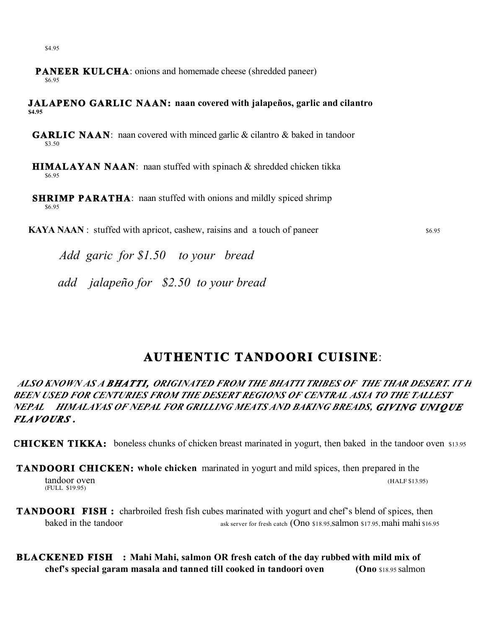- **PANEER KULCHA:** onions and homemade cheese (shredded paneer) \$6.95
- **JALAPENO GARLIC NAAN: naan covered with jalapeños, garlic and cilantro \$4.95**
- **GARLIC NAAN**: naan covered with minced garlic & cilantro & baked in tandoor \$3.50
- **HIMALAYAN NAAN**: naan stuffed with spinach & shredded chicken tikka \$6.95
- **SHRIMP PARATHA**: naan stuffed with onions and mildly spiced shrimp \$6.95

**KAYA NAAN** : stuffed with apricot, cashew, raisins and a touch of paneer  $\frac{$6.95}{6.95}$ 

*Add garic for \$1.50 to your bread*

 *add jalapeño for \$2.50 to your bread* 

## **AUTHENTIC TANDOORI CUISINE**:

ALSO KNOWN AS A BHATTI, ORIGINATED FROM THE BHATTI TRIBES OF THE THAR DESERT. IT H *BEEN USED FOR CENTURIES FROM THE DESERT REGIONS OF CENTRAL ASIA TO THE TALLEST NEPAL HIMALAYAS OF NEPAL FOR GRILLING MEATS AND BAKING BREADS, GIVING UNI QUE FLAVOURS .* 

**CHICKEN TIKKA:**boneless chunks of chicken breast marinated in yogurt, then baked in the tandoor oven \$13.95

- **TANDOORI CHICKEN: whole chicken** marinated in yogurt and mild spices, then prepared in the tandoor oven (HALF \$13.95) (FULL \$19.95)
- **TANDOORI FISH**: charbroiled fresh fish cubes marinated with yogurt and chef's blend of spices, then baked in the tandoor ask server for fresh catch (Ono \$18.95, salmon \$17.95, mahi mahi \$16.95
- **BLACKENED FISH : Mahi Mahi, salmon OR fresh catch of the day rubbed with mild mix of chef's special garam masala and tanned till cooked in tandoori oven (Ono** \$18.95 salmon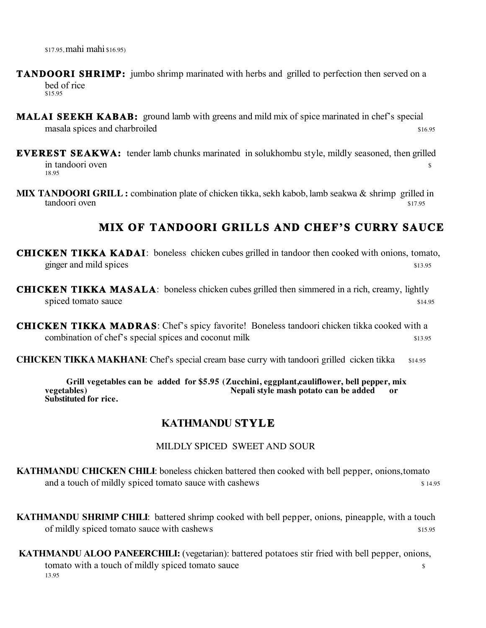\$17.95, mahi mahi \$16.95)

- **TANDOORI SHRIMP:** jumbo shrimp marinated with herbs and grilled to perfection then served on a bed of rice \$15.95
- **MALAI SEEKH KABAB:** ground lamb with greens and mild mix of spice marinated in chef's special masala spices and charbroiled  $\frac{16.95}{20.95}$
- **EVEREST SEAKWA:** tender lamb chunks marinated in solukhombu style, mildly seasoned, then grilled  $\frac{1}{3}$  in tandoori oven 18.95
- **MIX TANDOORI GRILL :** combination plate of chicken tikka, sekh kabob, lamb seakwa & shrimp grilled in tandoori oven tandoori oven \$17.95

### **MIX OF TANDOORI GRILLS AND CHEF'S CURRY SAUCE**

**CHICKEN TIKKA KADAI**: boneless chicken cubes grilled in tandoor then cooked with onions, tomato, ginger and mild spices  $\frac{13.95}{20}$ 

- **CHICKEN TIKKA MASALA**: boneless chicken cubes grilled then simmered in a rich, creamy, lightly spiced tomato sauce  $\frac{1}{4}$  spiced tomato sauce
- **CHICKEN TIKKA MADRAS**: Chef's spicy favorite! Boneless tandoori chicken tikka cooked with a combination of chef's special spices and coconut milk  $$13.95$
- **CHICKEN TIKKA MAKHANI:** Chef's special cream base curry with tandoori grilled cicken tikka \$14.95

 **Grill vegetables can be added for \$5.95 (Zucchini, eggplant,cauliflower, bell pepper, mix**  Nepali style mash potato can be added or **Substituted for rice.**

#### **KATHMANDU STYL E**

#### MILDLY SPICED SWEET AND SOUR

**KATHMANDU CHICKEN CHILI**: boneless chicken battered then cooked with bell pepper, onions,tomato and a touch of mildly spiced tomato sauce with cashews  $\frac{14.95}{2}$ 

**KATHMANDU SHRIMP CHILI**: battered shrimp cooked with bell pepper, onions, pineapple, with a touch of mildly spiced tomato sauce with cashews  $\frac{15.95}{25.95}$ 

 **KATHMANDU ALOO PANEERCHILI:** (vegetarian): battered potatoes stir fried with bell pepper, onions, tomato with a touch of mildly spiced tomato sauce  $\sim$ 13.95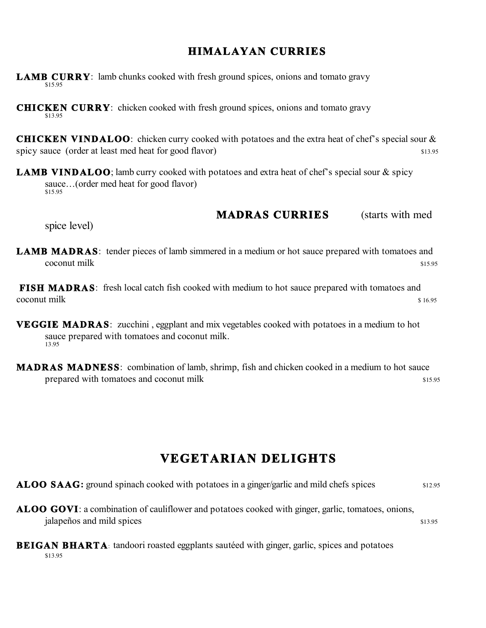### **HIMALAYAN CURRIES**

- **LAMB CURRY**: lamb chunks cooked with fresh ground spices, onions and tomato gravy
- **CHICKEN CURRY**: chicken cooked with fresh ground spices, onions and tomato gravy
- **CHICKEN VINDALOO**: chicken curry cooked with potatoes and the extra heat of chef's special sour & spicy sauce (order at least med heat for good flavor) \$13.95
- **LAMB VINDALOO**; lamb curry cooked with potatoes and extra heat of chef's special sour & spicy sauce...(order med heat for good flavor)<br>\$15.95

#### **MADRAS CURRIES** (starts with med

spice level)

**LAMB MADRAS**: tender pieces of lamb simmered in a medium or hot sauce prepared with tomatoes and  $\sim$  states of  $\sim$  states  $\sim$  states  $\sim$  states  $\sim$  states  $\sim$  states  $\sim$  states  $\sim$  states  $\sim$ 

**FISH MADRAS**: fresh local catch fish cooked with medium to hot sauce prepared with tomatoes and  $\infty$ coconut milk  $\frac{1}{2}$  16.95

- **VEGGIE MADRAS**: zucchini, eggplant and mix vegetables cooked with potatoes in a medium to hot sauce prepared with tomatoes and coconut milk.<br>13.95
- **MADRAS MADNESS**: combination of lamb, shrimp, fish and chicken cooked in a medium to hot sauce prepared with tomatoes and coconut milk  $\frac{15.95}{200}$

## **VEGETARIAN DELIGHTS**

**ALOO SAAG:** ground spinach cooked with potatoes in a ginger/garlic and mild chefs spices  $$12.95$ 

**ALOO GOVI**: a combination of cauliflower and potatoes cooked with ginger, garlic, tomatoes, onions,  $j_{3.95}$  jalapeños and mild spices  $\frac{1}{3.95}$ 

#### **BEIGAN BHARTA:** tandoori roasted eggplants sautéed with ginger, garlic, spices and potatoes \$13.95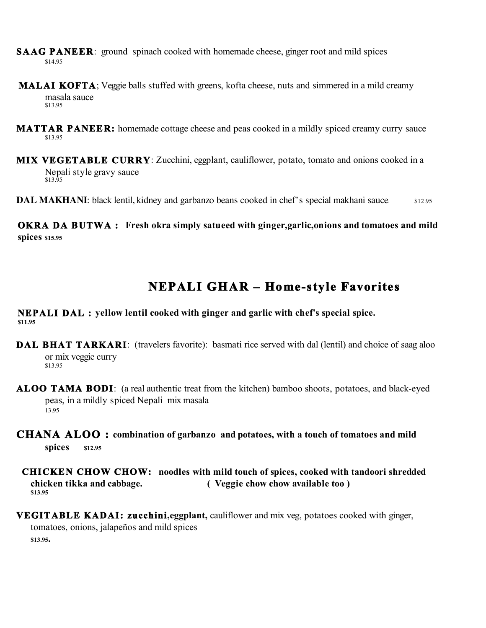- **SAAG PANEER**: ground spinach cooked with homemade cheese, ginger root and mild spices \$14.95
- **MALAI KOFTA**; Veggie balls stuffed with greens, kofta cheese, nuts and simmered in a mild creamy masala sauce \$13.95
- **MATTAR PANEER:** homemade cottage cheese and peas cooked in a mildly spiced creamy curry sauce \$13.95
- **MIX VEGETABLE CURRY**: Zucchini, eggplant, cauliflower, potato, tomato and onions cooked in a Nepali style gravy sauce<br>\$13.95
- **DAL MAKHANI:** black lentil, kidney and garbanzo beans cooked in chef's special makhani sauce.  $$12.95$

**OKRA DA BUTWA :** Fresh okra simply satueed with ginger, garlic, onions and tomatoes and mild **spices \$15.95**

# **NEPALI GHAR – Home-style Favorites**

**NEPALI DAL : yellow lentil cooked with ginger and garlic with chef's special spice. \$11.95**

- **DAL BHAT TARKARI:** (travelers favorite): basmati rice served with dal (lentil) and choice of saag aloo or mix veggie curry \$13.95
- **ALOO TAMA BODI**: (a real authentic treat from the kitchen) bamboo shoots, potatoes, and black-eyed peas, in a mildly spiced Nepali mix masala 13.95
- **CHANA ALOO : combination of garbanzo and potatoes, with a touch of tomatoes and mild spices \$12.95**
- **CHICKEN CHOW CHOW: noodles with mild touch of spices, cooked with tandoori shredded chicken tikka and cabbage. ( Veggie chow chow available too ) \$13.95**
- **VEGITABLE KADAI: zucchini,eggplant,** cauliflower and mix veg, potatoes cooked with ginger, tomatoes, onions, jalapeños and mild spices **\$13.95.**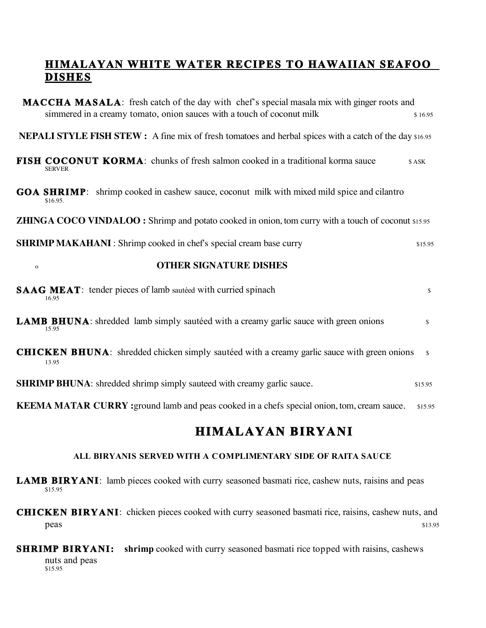### **HIMALAYAN WHITE WATER RECIPES TO HAWAIIAN SEAFOO DISHES**

| <b>MACCHA MASALA:</b> fresh catch of the day with chef's special masala mix with ginger roots and<br>simmered in a creamy tomato, onion sauces with a touch of coconut milk | \$16.95       |
|-----------------------------------------------------------------------------------------------------------------------------------------------------------------------------|---------------|
| <b>NEPALI STYLE FISH STEW</b> : A fine mix of fresh tomatoes and herbal spices with a catch of the day \$16.95                                                              |               |
| <b>FISH COCONUT KORMA:</b> chunks of fresh salmon cooked in a traditional korma sauce<br><b>SERVER</b>                                                                      | \$ASK         |
| <b>GOA SHRIMP</b> : shrimp cooked in cashew sauce, coconut milk with mixed mild spice and cilantro<br>\$16.95.                                                              |               |
| <b>ZHINGA COCO VINDALOO</b> : Shrimp and potato cooked in onion, tom curry with a touch of coconut \$15.95                                                                  |               |
| <b>SHRIMP MAKAHANI</b> : Shrimp cooked in chef's special cream base curry                                                                                                   | \$15.95       |
| <b>OTHER SIGNATURE DISHES</b><br>$\mathbf{o}$                                                                                                                               |               |
| <b>SAAG MEAT:</b> tender pieces of lamb sautéed with curried spinach<br>16.95                                                                                               | \$            |
| <b>LAMB BHUNA</b> : shredded lamb simply sautéed with a creamy garlic sauce with green onions<br>15.95                                                                      | \$            |
| <b>CHICKEN BHUNA</b> : shredded chicken simply saute ed with a creamy garlic sauce with green onions<br>13.95                                                               | $\mathcal{S}$ |
| <b>SHRIMP BHUNA:</b> shredded shrimp simply sauteed with creamy garlic sauce.                                                                                               | \$15.95       |
| <b>KEEMA MATAR CURRY</b> : ground lamb and peas cooked in a chefs special onion, tom, cream sauce.                                                                          | \$15.95       |

## **HIMALAYAN BIRYANI**

#### **ALL BIRYANIS SERVED WITH A COMPLIMENTARY SIDE OF RAITA SAUCE**

- LAMB BIRYANI: lamb pieces cooked with curry seasoned basmati rice, cashew nuts, raisins and peas \$15.95
- **CHICKEN BIRYANI**: chicken pieces cooked with curry seasoned basmati rice, raisins, cashew nuts, and peas states and the state of the state of the state of the state of the state of the state of the state of the state of the state of the state of the state of the state of the state of the state of the state of the state o
- **SHRIMP BIRYANI:** shrimp cooked with curry seasoned basmati rice topped with raisins, cashews nuts and peas<br>\$15.95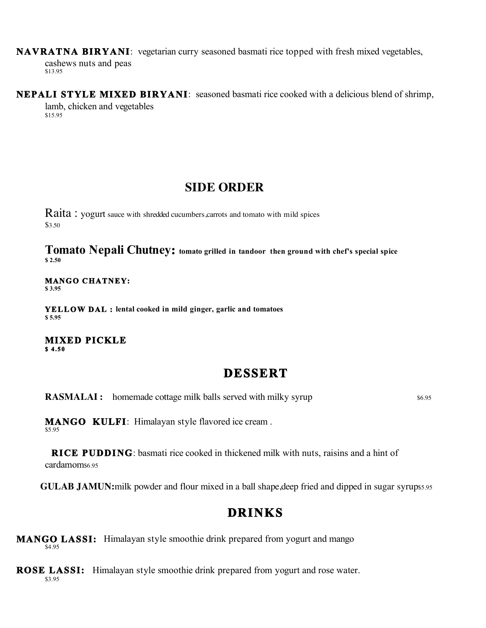**NAVRATNA BIRYANI**: vegetarian curry seasoned basmati rice topped with fresh mixed vegetables,

cashews nuts and peas \$13.95

**NEPALI STYLE MIXED BIRYANI:** seasoned basmati rice cooked with a delicious blend of shrimp, lamb, chicken and vegetables \$15.95

### **SIDE ORDER**

Raita: yogurt sauce with shredded cucumbers, carrots and tomato with mild spices \$3.50

**Tomato Nepali Chutney: tomato grilled in tandoor then ground with chef's special spice \$ 2.50**

# **MANGO CHATNEY:** \$3.95

**YELLOW DAL :** lental cooked in mild ginger, garlic and tomatoes \$5.95

**MIXED PICKLE \$ 4 .5 0** 

## **DESSERT**

**RASMALAI :** homemade cottage milk balls served with milky syrup \$6.95

**MANGO KULFI**: Himalayan style flavored ice cream.

**RICE PUDDING**: basmati rice cooked in thickened milk with nuts, raisins and a hint of cardamom<sub>\$6.95</sub>

**GULAB JAMUN:**milk powder and flour mixed in a ball shape, deep fried and dipped in sugar syrup\$5.95

# **DRINKS**

**MANGO LASSI:** Himalayan style smoothie drink prepared from yogurt and mango

**ROSE LASSI:** Himalayan style smoothie drink prepared from yogurt and rose water. \$3.95